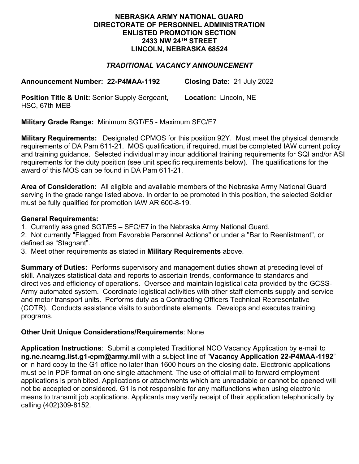## **NEBRASKA ARMY NATIONAL GUARD DIRECTORATE OF PERSONNEL ADMINISTRATION ENLISTED PROMOTION SECTION 2433 NW 24TH STREET LINCOLN, NEBRASKA 68524**

# *TRADITIONAL VACANCY ANNOUNCEMENT*

**Announcement Number: 22-P4MAA-1192 Closing Date:** 21 July 2022

**Position Title & Unit:** Senior Supply Sergeant, HSC, 67th MEB **Location:** Lincoln, NE

**Military Grade Range:** Minimum SGT/E5 - Maximum SFC/E7

**Military Requirements:** Designated CPMOS for this position 92Y. Must meet the physical demands requirements of DA Pam 611-21. MOS qualification, if required, must be completed IAW current policy and training guidance. Selected individual may incur additional training requirements for SQI and/or ASI requirements for the duty position (see unit specific requirements below). The qualifications for the award of this MOS can be found in DA Pam 611-21.

**Area of Consideration:** All eligible and available members of the Nebraska Army National Guard serving in the grade range listed above. In order to be promoted in this position, the selected Soldier must be fully qualified for promotion IAW AR 600-8-19.

## **General Requirements:**

1. Currently assigned SGT/E5 – SFC/E7 in the Nebraska Army National Guard.

2. Not currently "Flagged from Favorable Personnel Actions" or under a "Bar to Reenlistment", or defined as "Stagnant".

3. Meet other requirements as stated in **Military Requirements** above.

**Summary of Duties:** Performs supervisory and management duties shown at preceding level of skill. Analyzes statistical data and reports to ascertain trends, conformance to standards and directives and efficiency of operations. Oversee and maintain logistical data provided by the GCSS-Army automated system. Coordinate logistical activities with other staff elements supply and service and motor transport units. Performs duty as a Contracting Officers Technical Representative (COTR). Conducts assistance visits to subordinate elements. Develops and executes training programs.

# **Other Unit Unique Considerations/Requirements**: None

**Application Instructions**: Submit a completed Traditional NCO Vacancy Application by e-mail to **ng.ne.nearng.list.g1-epm@army.mil** with a subject line of "**Vacancy Application 22-P4MAA-1192**" or in hard copy to the G1 office no later than 1600 hours on the closing date. Electronic applications must be in PDF format on one single attachment. The use of official mail to forward employment applications is prohibited. Applications or attachments which are unreadable or cannot be opened will not be accepted or considered. G1 is not responsible for any malfunctions when using electronic means to transmit job applications. Applicants may verify receipt of their application telephonically by calling (402)309-8152.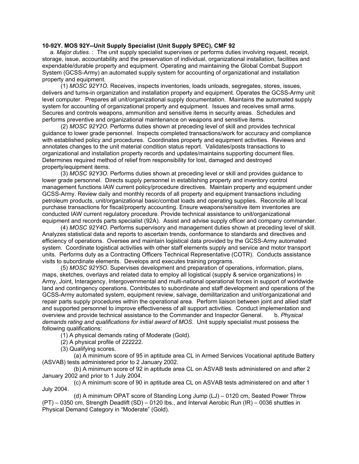#### **10-92Y. MOS 92Y--Unit Supply Specialist (Unit Supply SPEC), CMF 92**

 a. *Major duties.* : The unit supply specialist supervises or performs duties involving request, receipt, storage, issue, accountability and the preservation of individual, organizational installation, facilities and expendable/durable property and equipment. Operating and maintaining the Global Combat Support System (GCSS-Army) an automated supply system for accounting of organizational and installation property and equipment.

 (1) *MOSC 92Y1O.* Receives, inspects inventories, loads unloads, segregates, stores, issues, delivers and turns-in organization and installation property and equipment. Operates the GCSS-Army unit level computer. Prepares all unit/organizational supply documentation. Maintains the automated supply system for accounting of organizational property and equipment. Issues and receives small arms. Secures and controls weapons, ammunition and sensitive items in security areas. Schedules and performs preventive and organizational maintenance on weapons and sensitive items.

 (2) *MOSC 92Y2O.* Performs duties shown at preceding level of skill and provides technical guidance to lower grade personnel. Inspects completed transactions/work for accuracy and compliance with established policy and procedures. Coordinates property and equipment activities. Reviews and annotates changes to the unit material condition status report. Validates/posts transactions to organizational and installation property records and updates/maintains supporting document files. Determines required method of relief from responsibility for lost, damaged and destroyed property/equipment items.

 (3) *MOSC 92Y3O*. Performs duties shown at preceding level or skill and provides guidance to lower grade personnel. Directs supply personnel in establishing property and inventory control management functions IAW current policy/procedure directives. Maintain property and equipment under GCSS-Army. Review daily and monthly records of all property and equipment transactions including petroleum products, unit/organizational basic/combat loads and operating supplies. Reconcile all local purchase transactions for fiscal/property accounting. Ensure weapons/sensitive item inventories are conducted IAW current regulatory procedure. Provide technical assistance to unit/organizational equipment and records parts specialist (92A). Assist and advise supply officer and company commander.

 (4) *MOSC 92Y4O.* Performs supervisory and management duties shown at preceding level of skill. Analyzes statistical data and reports to ascertain trends, conformance to standards and directives and efficiency of operations. Oversee and maintain logistical data provided by the GCSS-Army automated system. Coordinate logistical activities with other staff elements supply and service and motor transport units. Performs duty as a Contracting Officers Technical Representative (COTR). Conducts assistance visits to subordinate elements. Develops and executes training programs.

 (5) *MOSC 92Y5O.* Supervises development and preparation of operations, information, plans, maps, sketches, overlays and related data to employ all logistical (supply & service organizations) in Army, Joint, Interagency, Intergovernmental and multi-national operational forces in support of worldwide land and contingency operations. Contributes to subordinate and staff development and operations of the GCSS-Army automated system, equipment review, salvage, demilitarization and unit/organizational and repair parts supply procedures within the operational area. Perform liaison between joint and allied staff and supported personnel to improve effectiveness of all support activities. Conduct implementation and overview and provide technical assistance to the Commander and Inspector General. b. *Physical demands rating and qualifications for initial award of MOS.* Unit supply specialist must possess the following qualifications:

(1) A physical demands rating of Moderate (Gold).

(2) A physical profile of 222222.

(3) Qualifying scores.

 (a) A minimum score of 95 in aptitude area CL in Armed Services Vocational aptitude Battery (ASVAB) tests administered prior to 2 January 2002.

 (b) A minimum score of 92 in aptitude area CL on ASVAB tests administered on and after 2 January 2002 and prior to 1 July 2004.

 (c) A minimum score of 90 in aptitude area CL on ASVAB tests administered on and after 1 July 2004.

 (d) A minimum OPAT score of Standing Long Jump (LJ) – 0120 cm, Seated Power Throw (PT) – 0350 cm, Strength Deadlift (SD) – 0120 lbs., and Interval Aerobic Run (IR) – 0036 shuttles in Physical Demand Category in "Moderate" (Gold).